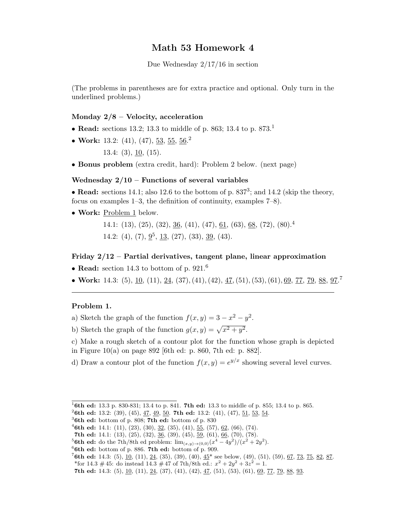# Math 53 Homework 4

Due Wednesday 2/17/16 in section

(The problems in parentheses are for extra practice and optional. Only turn in the underlined problems.)

## Monday  $2/8$  – Velocity, acceleration

- Read: sections 13.2; 13.3 to middle of p. 863; 13.4 to p. 873.<sup>1</sup>
- Work: 13.2:  $(41)$ ,  $(47)$ ,  $53$ ,  $55$ ,  $56$ .<sup>2</sup>

13.4: (3), 10, (15).

• Bonus problem (extra credit, hard): Problem 2 below. (next page)

### Wednesday  $2/10$  – Functions of several variables

• Read: sections 14.1; also 12.6 to the bottom of p.  $837<sup>3</sup>$ ; and 14.2 (skip the theory, focus on examples 1–3, the definition of continuity, examples 7–8).

• Work: Problem 1 below.

14.1: (13), (25), (32), <u>36</u>, (41), (47), <u>61</u>, (63), <u>68</u>, (72), (80).<sup>4</sup> 14.2: (4), (7),  $9^5$ , 13, (27), (33), 39, (43).

#### Friday 2/12 – Partial derivatives, tangent plane, linear approximation

- Read: section 14.3 to bottom of p. 921.<sup>6</sup>
- Work: 14.3: (5), 10, (11), 24, (37), (41), (42), 47, (51), (53), (61), 69, 77, 79, 88, 97.<sup>7</sup>

#### Problem 1.

- a) Sketch the graph of the function  $f(x, y) = 3 x^2 y^2$ .
- b) Sketch the graph of the function  $g(x, y) = \sqrt{x^2 + y^2}$ .
- c) Make a rough sketch of a contour plot for the function whose graph is depicted in Figure 10(a) on page 892 [6th ed: p. 860, 7th ed: p. 882].

d) Draw a contour plot of the function  $f(x, y) = e^{y/x}$  showing several level curves.

<sup>&</sup>lt;sup>1</sup>6th ed: 13.3 p. 830-831; 13.4 to p. 841. 7th ed: 13.3 to middle of p. 855; 13.4 to p. 865.

<sup>&</sup>lt;sup>2</sup>6th ed: 13.2: (39), (45), 4<u>7, 49, 50</u>. 7th ed: 13.2: (41), (47), <u>51, 53, 54</u>.

 $3$ 6th ed: bottom of p. 808; 7th ed: bottom of p. 830

<sup>&</sup>lt;sup>4</sup>6th ed: 14.1: (11), (23), (30), <u>32</u>, (35), (41), <u>55</u>, (57), <u>62</u>, (66), (74).

<sup>7</sup>th ed: 14.1: (13), (25), (32),  $\underline{36}$ , (39), (45),  $\underline{59}$ , (61),  $\underline{66}$ , (70), (78).

<sup>&</sup>lt;sup>5</sup>**6th ed:** do the 7th/8th ed problem:  $\lim_{(x,y)\to(0,0)} (x^4 - 4y^2)/(x^2 + 2y^2)$ .

 $66th$  ed: bottom of p. 886. 7th ed: bottom of p. 909.

<sup>&</sup>lt;sup>7</sup>6th ed: 14.3: (5), <u>10</u>, (11), <u>24</u>, (35), (39), (40),  $45^*$  see below, (49), (51), (59), <u>67, 73, 75, 82, 87</u>.

<sup>\*</sup>for 14.3 #45: do instead 14.3 #47 of 7th/8th ed.:  $x^2 + 2y^2 + 3z^2 = 1$ .

<sup>7</sup>th ed: 14.3: (5),  $\underline{10}$ , (11),  $\underline{24}$ , (37), (41), (42),  $\underline{47}$ , (51), (53), (61),  $\underline{69}$ ,  $\underline{77}$ ,  $\underline{79}$ ,  $\underline{88}$ ,  $\underline{93}$ .